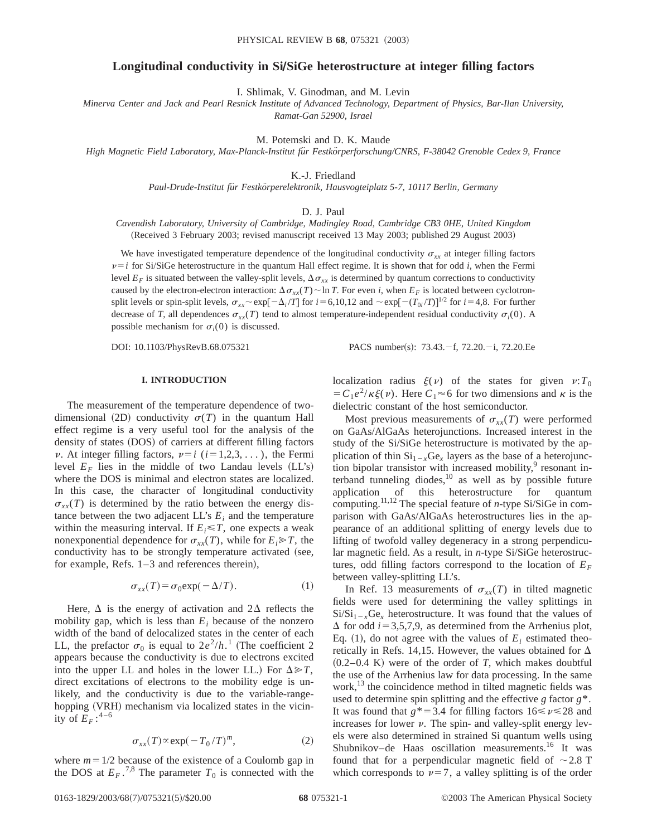# **Longitudinal conductivity in SiÕSiGe heterostructure at integer filling factors**

I. Shlimak, V. Ginodman, and M. Levin

*Minerva Center and Jack and Pearl Resnick Institute of Advanced Technology, Department of Physics, Bar-Ilan University, Ramat-Gan 52900, Israel*

M. Potemski and D. K. Maude

*High Magnetic Field Laboratory, Max-Planck-Institut fu¨r Festko¨rperforschung/CNRS, F-38042 Grenoble Cedex 9, France*

K.-J. Friedland

*Paul-Drude-Institut fu¨r Festko¨rperelektronik, Hausvogteiplatz 5-7, 10117 Berlin, Germany*

#### D. J. Paul

*Cavendish Laboratory, University of Cambridge, Madingley Road, Cambridge CB3 0HE, United Kingdom* (Received 3 February 2003; revised manuscript received 13 May 2003; published 29 August 2003)

We have investigated temperature dependence of the longitudinal conductivity  $\sigma_{xx}$  at integer filling factors  $\nu = i$  for Si/SiGe heterostructure in the quantum Hall effect regime. It is shown that for odd *i*, when the Fermi level  $E_F$  is situated between the valley-split levels,  $\Delta \sigma_{xx}$  is determined by quantum corrections to conductivity caused by the electron-electron interaction:  $\Delta \sigma_{xx}(T) \sim \ln T$ . For even *i*, when  $E_F$  is located between cyclotronsplit levels or spin-split levels,  $\sigma_{xx}$  ~ exp[ $-\Delta_i/T$ ] for  $i=6,10,12$  and  $\sim$  exp[ $-(T_{0i}/T)$ ]<sup>1/2</sup> for  $i=4,8$ . For further decrease of *T*, all dependences  $\sigma_{xx}(T)$  tend to almost temperature-independent residual conductivity  $\sigma_i(0)$ . A possible mechanism for  $\sigma_i(0)$  is discussed.

DOI: 10.1103/PhysRevB.68.075321 PACS number(s): 73.43. -f, 72.20. -i, 72.20. Ee

## **I. INTRODUCTION**

The measurement of the temperature dependence of twodimensional (2D) conductivity  $\sigma(T)$  in the quantum Hall effect regime is a very useful tool for the analysis of the density of states (DOS) of carriers at different filling factors  $\nu$ . At integer filling factors,  $\nu=i$  ( $i=1,2,3,...$ ), the Fermi level  $E_F$  lies in the middle of two Landau levels  $(LL's)$ where the DOS is minimal and electron states are localized. In this case, the character of longitudinal conductivity  $\sigma_{xx}(T)$  is determined by the ratio between the energy distance between the two adjacent  $LL$ 's  $E_i$  and the temperature within the measuring interval. If  $E_i \leq T$ , one expects a weak nonexponential dependence for  $\sigma_{xx}(T)$ , while for  $E_i \gg T$ , the conductivity has to be strongly temperature activated (see, for example, Refs.  $1-3$  and references therein),

$$
\sigma_{xx}(T) = \sigma_0 \exp(-\Delta/T). \tag{1}
$$

Here,  $\Delta$  is the energy of activation and  $2\Delta$  reflects the mobility gap, which is less than  $E_i$  because of the nonzero width of the band of delocalized states in the center of each LL, the prefactor  $\sigma_0$  is equal to  $2e^2/h$ .<sup>1</sup> (The coefficient 2 appears because the conductivity is due to electrons excited into the upper LL and holes in the lower LL.) For  $\Delta \gg T$ , direct excitations of electrons to the mobility edge is unlikely, and the conductivity is due to the variable-rangehopping (VRH) mechanism via localized states in the vicinity of  $E_F$ :<sup>4-6</sup>

$$
\sigma_{xx}(T) \propto \exp(-T_0/T)^m, \tag{2}
$$

where  $m=1/2$  because of the existence of a Coulomb gap in the DOS at  $E_F$ .<sup>7,8</sup> The parameter  $T_0$  is connected with the localization radius  $\xi(v)$  of the states for given  $v:T_0$  $=C_1e^2/\kappa \xi(\nu)$ . Here  $C_1 \approx 6$  for two dimensions and  $\kappa$  is the dielectric constant of the host semiconductor.

Most previous measurements of  $\sigma_{xx}(T)$  were performed on GaAs/AlGaAs heterojunctions. Increased interest in the study of the Si/SiGe heterostructure is motivated by the application of thin  $Si_{1-x}Ge_x$  layers as the base of a heterojunction bipolar transistor with increased mobility, $\frac{9}{7}$  resonant interband tunneling diodes, $10$  as well as by possible future application of this heterostructure for quantum computing.11,12 The special feature of *n*-type Si/SiGe in comparison with GaAs/AlGaAs heterostructures lies in the appearance of an additional splitting of energy levels due to lifting of twofold valley degeneracy in a strong perpendicular magnetic field. As a result, in *n*-type Si/SiGe heterostructures, odd filling factors correspond to the location of  $E_F$ between valley-splitting LL's.

In Ref. 13 measurements of  $\sigma_{xx}(T)$  in tilted magnetic fields were used for determining the valley splittings in  $Si/Si_{1-x}Ge_x$  heterostructure. It was found that the values of  $\Delta$  for odd *i* = 3,5,7,9, as determined from the Arrhenius plot, Eq. (1), do not agree with the values of  $E_i$  estimated theoretically in Refs. 14,15. However, the values obtained for  $\Delta$  $(0.2-0.4 \text{ K})$  were of the order of *T*, which makes doubtful the use of the Arrhenius law for data processing. In the same work,<sup>13</sup> the coincidence method in tilted magnetic fields was used to determine spin splitting and the effective *g* factor *g*\*. It was found that  $g^* = 3.4$  for filling factors  $16 \le v \le 28$  and increases for lower  $\nu$ . The spin- and valley-split energy levels were also determined in strained Si quantum wells using Shubnikov–de Haas oscillation measurements.<sup>16</sup> It was found that for a perpendicular magnetic field of  $\sim$  2.8 T which corresponds to  $\nu=7$ , a valley splitting is of the order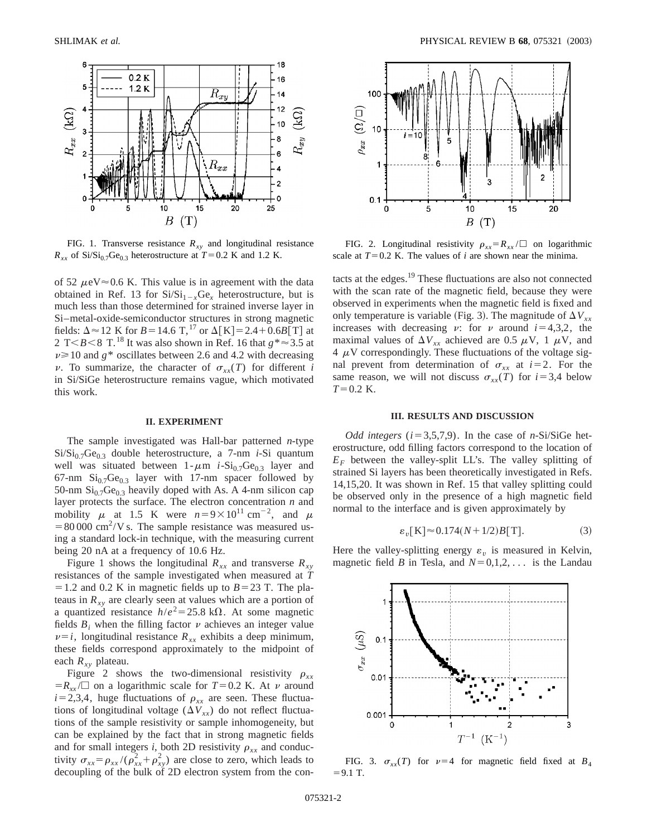

FIG. 1. Transverse resistance  $R_{xy}$  and longitudinal resistance  $R_{xx}$  of Si/Si<sub>0.7</sub>Ge<sub>0.3</sub> heterostructure at  $T=0.2$  K and 1.2 K.

of 52  $\mu$ eV $\approx$ 0.6 K. This value is in agreement with the data obtained in Ref. 13 for  $Si/Si_{1-x}Ge_{x}$  heterostructure, but is much less than those determined for strained inverse layer in Si–metal-oxide-semiconductor structures in strong magnetic fields:  $\Delta \approx 12$  K for *B* = 14.6 T,<sup>17</sup> or  $\Delta$ [K] = 2.4+0.6*B*[T] at 2 T $< B < 8$  T.<sup>18</sup> It was also shown in Ref. 16 that  $g^* \approx 3.5$  at  $\nu \ge 10$  and  $g^*$  oscillates between 2.6 and 4.2 with decreasing  $\nu$ . To summarize, the character of  $\sigma_{rr}(T)$  for different *i* in Si/SiGe heterostructure remains vague, which motivated this work.

## **II. EXPERIMENT**

The sample investigated was Hall-bar patterned *n*-type  $Si/Si<sub>0.7</sub>Ge<sub>0.3</sub>$  double heterostructure, a 7-nm *i*-Si quantum well was situated between  $1-\mu m$  *i*-Si<sub>0.7</sub>Ge<sub>0.3</sub> layer and 67-nm  $Si<sub>0.7</sub>Ge<sub>0.3</sub>$  layer with 17-nm spacer followed by 50-nm  $\mathrm{Si}_{0.7}\mathrm{Ge}_{0.3}$  heavily doped with As. A 4-nm silicon cap layer protects the surface. The electron concentration *n* and mobility  $\mu$  at 1.5 K were  $n=9\times10^{11}$  cm<sup>-2</sup>, and  $\mu$  $=80,000 \text{ cm}^2/\text{V}$  s. The sample resistance was measured using a standard lock-in technique, with the measuring current being 20 nA at a frequency of 10.6 Hz.

Figure 1 shows the longitudinal  $R_{xx}$  and transverse  $R_{xy}$ resistances of the sample investigated when measured at *T*  $= 1.2$  and 0.2 K in magnetic fields up to  $B = 23$  T. The plateaus in  $R_{xy}$  are clearly seen at values which are a portion of a quantized resistance  $h/e^2 = 25.8 \text{ k}\Omega$ . At some magnetic fields  $B_i$  when the filling factor  $\nu$  achieves an integer value  $\nu=i$ , longitudinal resistance  $R_{xx}$  exhibits a deep minimum, these fields correspond approximately to the midpoint of each  $R_{xy}$  plateau.

Figure 2 shows the two-dimensional resistivity  $\rho_{xx}$  $=R_{xx}/\Box$  on a logarithmic scale for  $T=0.2$  K. At v around  $i=2,3,4$ , huge fluctuations of  $\rho_{xx}$  are seen. These fluctuations of longitudinal voltage  $(\Delta V_{xx})$  do not reflect fluctuations of the sample resistivity or sample inhomogeneity, but can be explained by the fact that in strong magnetic fields and for small integers *i*, both 2D resistivity  $\rho_{xx}$  and conductivity  $\sigma_{xx} = \rho_{xx} / (\rho_{xx}^2 + \rho_{xy}^2)$  are close to zero, which leads to decoupling of the bulk of 2D electron system from the con-



FIG. 2. Longitudinal resistivity  $\rho_{xx} = R_{xx}/\Box$  on logarithmic scale at  $T=0.2$  K. The values of *i* are shown near the minima.

tacts at the edges.19 These fluctuations are also not connected with the scan rate of the magnetic field, because they were observed in experiments when the magnetic field is fixed and only temperature is variable (Fig. 3). The magnitude of  $\Delta V_{xx}$ increases with decreasing v: for v around  $i=4,3,2$ , the maximal values of  $\Delta V_{xx}$  achieved are 0.5  $\mu$ V, 1  $\mu$ V, and  $4 \mu$ V correspondingly. These fluctuations of the voltage signal prevent from determination of  $\sigma_{xx}$  at *i*=2. For the same reason, we will not discuss  $\sigma_{xx}(T)$  for  $i=3,4$  below  $T=0.2$  K.

## **III. RESULTS AND DISCUSSION**

*Odd integers* ( $i=3,5,7,9$ ). In the case of *n*-Si/SiGe heterostructure, odd filling factors correspond to the location of  $E_F$  between the valley-split LL's. The valley splitting of strained Si layers has been theoretically investigated in Refs. 14,15,20. It was shown in Ref. 15 that valley splitting could be observed only in the presence of a high magnetic field normal to the interface and is given approximately by

$$
\varepsilon_v[K] \approx 0.174(N + 1/2)B[T].\tag{3}
$$

Here the valley-splitting energy  $\varepsilon_v$  is measured in Kelvin, magnetic field *B* in Tesla, and  $N=0,1,2,...$  is the Landau



FIG. 3.  $\sigma_{xx}(T)$  for  $\nu=4$  for magnetic field fixed at  $B_4$  $= 9.1$  T.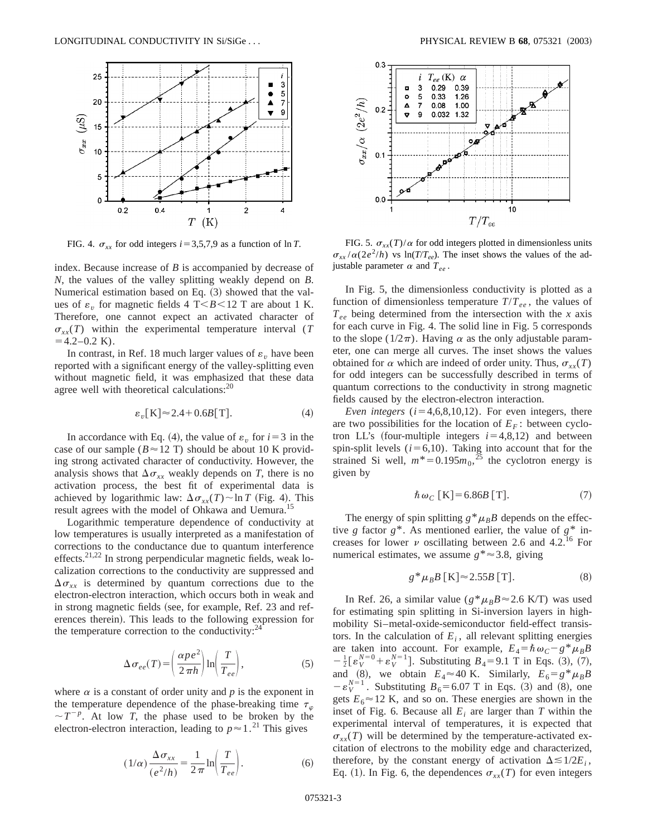

index. Because increase of *B* is accompanied by decrease of *N*, the values of the valley splitting weakly depend on *B*. Numerical estimation based on Eq.  $(3)$  showed that the values of  $\varepsilon$ <sub>*v*</sub> for magnetic fields 4 T $\leq$ *B* $\leq$ 12 T are about 1 K. Therefore, one cannot expect an activated character of  $\sigma_{xx}(T)$  within the experimental temperature interval (*T*  $=4.2-0.2$  K).

In contrast, in Ref. 18 much larger values of  $\varepsilon$ <sub>*v*</sub> have been reported with a significant energy of the valley-splitting even without magnetic field, it was emphasized that these data agree well with theoretical calculations: $20$ 

$$
\varepsilon_v[K] \approx 2.4 + 0.6B[T].\tag{4}
$$

In accordance with Eq. (4), the value of  $\varepsilon$ <sub>*n*</sub> for  $i=3$  in the case of our sample ( $B \approx 12$  T) should be about 10 K providing strong activated character of conductivity. However, the analysis shows that  $\Delta \sigma_{xx}$  weakly depends on *T*, there is no activation process, the best fit of experimental data is achieved by logarithmic law:  $\Delta \sigma_{xx}(T) \sim \ln T$  (Fig. 4). This result agrees with the model of Ohkawa and Uemura.<sup>15</sup>

Logarithmic temperature dependence of conductivity at low temperatures is usually interpreted as a manifestation of corrections to the conductance due to quantum interference effects.<sup>21,22</sup> In strong perpendicular magnetic fields, weak localization corrections to the conductivity are suppressed and  $\Delta \sigma_{xx}$  is determined by quantum corrections due to the electron-electron interaction, which occurs both in weak and in strong magnetic fields (see, for example, Ref. 23 and references therein). This leads to the following expression for the temperature correction to the conductivity: $24$ 

$$
\Delta \sigma_{ee}(T) = \left(\frac{\alpha p e^2}{2 \pi h}\right) \ln \left(\frac{T}{T_{ee}}\right),\tag{5}
$$

where  $\alpha$  is a constant of order unity and  $p$  is the exponent in the temperature dependence of the phase-breaking time  $\tau_{\phi}$  $\sim T^{-p}$ . At low *T*, the phase used to be broken by the electron-electron interaction, leading to  $p \approx 1$ .<sup>21</sup> This gives

$$
(1/\alpha) \frac{\Delta \sigma_{xx}}{(e^2/h)} = \frac{1}{2\pi} \ln \left( \frac{T}{T_{ee}} \right). \tag{6}
$$



FIG. 4.  $\sigma_{xx}$  for odd integers *i* = 3,5,7,9 as a function of ln *T*. FIG. 5.  $\sigma_{xx}(T)/\alpha$  for odd integers plotted in dimensionless units  $\sigma_{xx}/\alpha(2e^2/h)$  vs ln(*T*/*T<sub>ee</sub>*). The inset shows the values of the adjustable parameter  $\alpha$  and  $T_{ee}$ .

In Fig. 5, the dimensionless conductivity is plotted as a function of dimensionless temperature  $T/T_{ee}$ , the values of  $T_{ee}$  being determined from the intersection with the *x* axis for each curve in Fig. 4. The solid line in Fig. 5 corresponds to the slope ( $1/2\pi$ ). Having  $\alpha$  as the only adjustable parameter, one can merge all curves. The inset shows the values obtained for  $\alpha$  which are indeed of order unity. Thus,  $\sigma_{xx}(T)$ for odd integers can be successfully described in terms of quantum corrections to the conductivity in strong magnetic fields caused by the electron-electron interaction.

*Even integers*  $(i=4,6,8,10,12)$ . For even integers, there are two possibilities for the location of  $E_F$ : between cyclotron LL's (four-multiple integers  $i=4,8,12$ ) and between spin-split levels  $(i=6,10)$ . Taking into account that for the strained Si well,  $m^* = 0.195m_0$ ,<sup>25</sup> the cyclotron energy is given by

$$
\hbar \,\omega_C \,\mathrm{[K]} = 6.86B \,\mathrm{[T]}.\tag{7}
$$

The energy of spin splitting  $g^*\mu_B B$  depends on the effective *g* factor  $g^*$ . As mentioned earlier, the value of  $g^*$  increases for lower  $\nu$  oscillating between 2.6 and 4.2.<sup>16</sup> For numerical estimates, we assume  $g^* \approx 3.8$ , giving

$$
g^* \mu_B B \,[\mathrm{K}] \approx 2.55B \,[\mathrm{T}].\tag{8}
$$

In Ref. 26, a similar value ( $g^* \mu_B B \approx 2.6$  K/T) was used for estimating spin splitting in Si-inversion layers in highmobility Si–metal-oxide-semiconductor field-effect transistors. In the calculation of  $E_i$ , all relevant splitting energies are taken into account. For example,  $E_4 = \hbar \omega_C - g^* \mu_B B$  $-\frac{1}{2} [\varepsilon_V^{N=0} + \varepsilon_V^{N=1}]$ . Substituting  $B_4 = 9.1$  T in Eqs. (3), (7), and (8), we obtain  $E_4 \approx 40$  K. Similarly,  $E_6 = g^* \mu_B B$  $-\epsilon_V^{N=1}$ . Substituting  $B_6 = 6.07$  T in Eqs. (3) and (8), one gets  $E_6 \approx 12$  K, and so on. These energies are shown in the inset of Fig. 6. Because all  $E_i$  are larger than  $T$  within the experimental interval of temperatures, it is expected that  $\sigma_{xx}(T)$  will be determined by the temperature-activated excitation of electrons to the mobility edge and characterized, therefore, by the constant energy of activation  $\Delta \leq 1/2E_i$ , Eq. (1). In Fig. 6, the dependences  $\sigma_{xx}(T)$  for even integers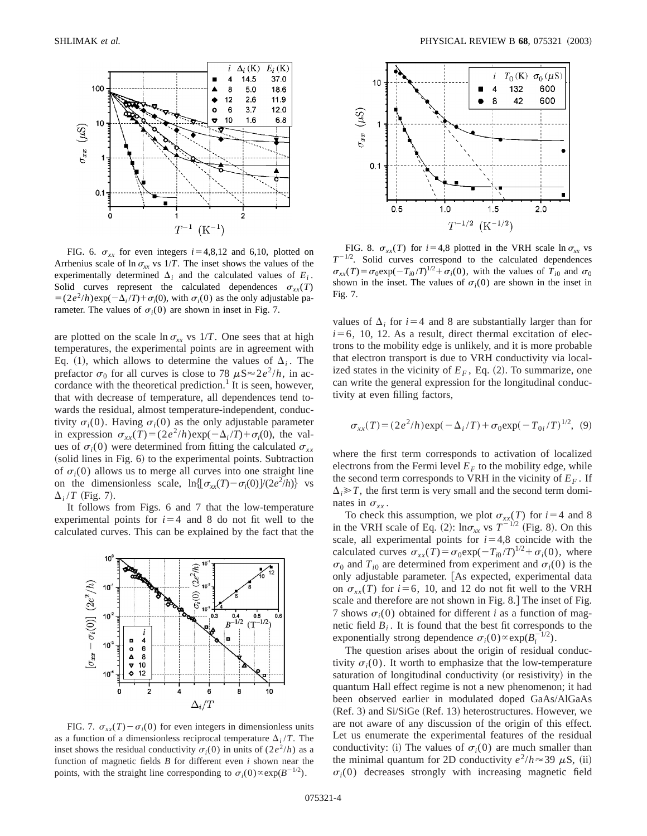

FIG. 6.  $\sigma_{xx}$  for even integers  $i=4,8,12$  and 6,10, plotted on Arrhenius scale of  $\ln \sigma_{xx}$  vs 1/*T*. The inset shows the values of the experimentally determined  $\Delta_i$  and the calculated values of  $E_i$ . Solid curves represent the calculated dependences  $\sigma_{xx}(T)$  $= (2e^2/h)\exp(-\Delta_i/T) + \sigma_i(0)$ , with  $\sigma_i(0)$  as the only adjustable parameter. The values of  $\sigma_i(0)$  are shown in inset in Fig. 7.

are plotted on the scale  $\ln \sigma_{xx}$  vs 1/*T*. One sees that at high temperatures, the experimental points are in agreement with Eq. (1), which allows to determine the values of  $\Delta_i$ . The prefactor  $\sigma_0$  for all curves is close to 78  $\mu$ S $\approx$ 2*e*<sup>2</sup>/*h*, in accordance with the theoretical prediction.<sup>1</sup> It is seen, however, that with decrease of temperature, all dependences tend towards the residual, almost temperature-independent, conductivity  $\sigma_i(0)$ . Having  $\sigma_i(0)$  as the only adjustable parameter in expression  $\sigma_{xx}(T) = (2e^2/h)\exp(-\Delta_i/T) + \sigma_i(0)$ , the values of  $\sigma_i(0)$  were determined from fitting the calculated  $\sigma_{xx}$  $\alpha$  (solid lines in Fig. 6) to the experimental points. Subtraction of  $\sigma_i(0)$  allows us to merge all curves into one straight line on the dimensionless scale,  $\ln\left[\frac{\sigma_{xx}(T) - \sigma_i(0)}{2e^2/h}\right]$  vs  $\Delta_i/T$  (Fig. 7).

It follows from Figs. 6 and 7 that the low-temperature experimental points for  $i=4$  and 8 do not fit well to the calculated curves. This can be explained by the fact that the



FIG. 7.  $\sigma_{xx}(T) - \sigma_i(0)$  for even integers in dimensionless units as a function of a dimensionless reciprocal temperature  $\Delta_i/T$ . The inset shows the residual conductivity  $\sigma_i(0)$  in units of  $(2e^2/h)$  as a function of magnetic fields *B* for different even *i* shown near the points, with the straight line corresponding to  $\sigma_i(0) \propto \exp(B^{-1/2})$ .



FIG. 8.  $\sigma_{xx}(T)$  for  $i=4,8$  plotted in the VRH scale  $\ln \sigma_{xx}$  vs  $T^{-1/2}$ . Solid curves correspond to the calculated dependences  $\sigma_{xx}(T) = \sigma_0 \exp(-T_{i0}/T)^{1/2} + \sigma_i(0)$ , with the values of  $T_{i0}$  and  $\sigma_0$ shown in the inset. The values of  $\sigma_i(0)$  are shown in the inset in Fig. 7.

values of  $\Delta_i$  for  $i=4$  and 8 are substantially larger than for  $i=6$ , 10, 12. As a result, direct thermal excitation of electrons to the mobility edge is unlikely, and it is more probable that electron transport is due to VRH conductivity via localized states in the vicinity of  $E_F$ , Eq. (2). To summarize, one can write the general expression for the longitudinal conductivity at even filling factors,

$$
\sigma_{xx}(T) = (2e^2/h) \exp(-\Delta_i/T) + \sigma_0 \exp(-T_{0i}/T)^{1/2}, \quad (9)
$$

where the first term corresponds to activation of localized electrons from the Fermi level  $E_F$  to the mobility edge, while the second term corresponds to VRH in the vicinity of  $E_F$ . If  $\Delta_i \gg T$ , the first term is very small and the second term dominates in  $\sigma_{rr}$ .

To check this assumption, we plot  $\sigma_{xx}(T)$  for  $i=4$  and 8 in the VRH scale of Eq. (2):  $\ln \sigma_{xx}$  vs  $T^{-1/2}$  (Fig. 8). On this scale, all experimental points for  $i=4,8$  coincide with the calculated curves  $\sigma_{xx}(T) = \sigma_0 \exp(-T_{i0}/T)^{1/2} + \sigma_i(0)$ , where  $\sigma_0$  and  $T_{i0}$  are determined from experiment and  $\sigma_i(0)$  is the only adjustable parameter. [As expected, experimental data on  $\sigma_{xx}(T)$  for  $i=6$ , 10, and 12 do not fit well to the VRH scale and therefore are not shown in Fig. 8. The inset of Fig. 7 shows  $\sigma_i(0)$  obtained for different *i* as a function of magnetic field  $B_i$ . It is found that the best fit corresponds to the exponentially strong dependence  $\sigma_i(0) \propto \exp(B_i^{-1/2})$ .

The question arises about the origin of residual conductivity  $\sigma_i(0)$ . It worth to emphasize that the low-temperature saturation of longitudinal conductivity (or resistivity) in the quantum Hall effect regime is not a new phenomenon; it had been observed earlier in modulated doped GaAs/AlGaAs  $(Ref. 3)$  and  $Si/SiGe (Ref. 13)$  heterostructures. However, we are not aware of any discussion of the origin of this effect. Let us enumerate the experimental features of the residual conductivity: (i) The values of  $\sigma_i(0)$  are much smaller than the minimal quantum for 2D conductivity  $e^2/h \approx 39 \mu S$ , (ii)  $\sigma_i(0)$  decreases strongly with increasing magnetic field